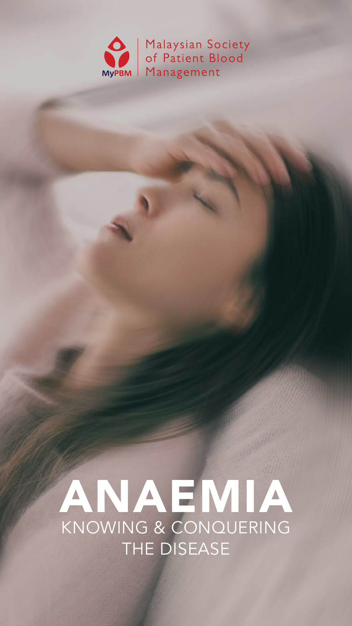



# KNOWING & CONQUERING THE DISEASE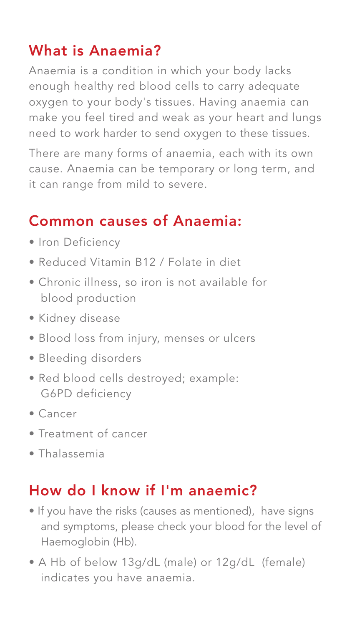## What is Anaemia?

Anaemia is a condition in which your body lacks enough healthy red blood cells to carry adequate oxygen to your body's tissues. Having anaemia can make you feel tired and weak as your heart and lungs need to work harder to send oxygen to these tissues.

There are many forms of anaemia, each with its own cause. Anaemia can be temporary or long term, and it can range from mild to severe.

- Iron Deficiency
- Reduced Vitamin B12 / Folate in diet
- Chronic illness, so iron is not available for blood production
- Kidney disease
- Blood loss from injury, menses or ulcers
- Bleeding disorders
- Red blood cells destroyed; example: G6PD deficiency
- Cancer
- Treatment of cancer
- Thalassemia

## Common causes of Anaemia:

# How do I know if I'm anaemic?

- If you have the risks (causes as mentioned), have signs and symptoms, please check your blood for the level of Haemoglobin (Hb).
- A Hb of below 13g/dL (male) or 12g/dL (female) indicates you have anaemia.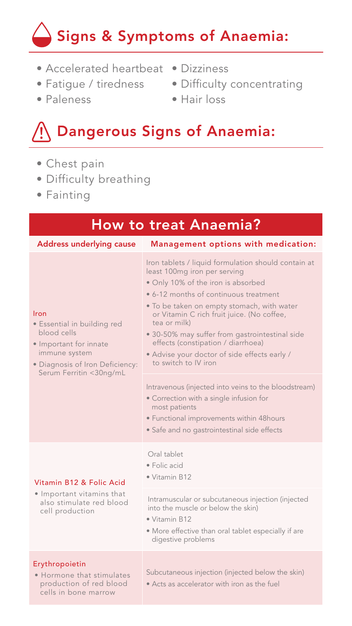# Signs & Symptoms of Anaemia:

# Dangerous Signs of Anaemia:

- Chest pain
- Difficulty breathing
- Fainting
- Accelerated heartbeat Dizziness
- Fatigue / tiredness
- Paleness
- Difficulty concentrating
- Hair loss

## How to treat Anaemia?

Address underlying cause Management options with medication:

#### Iron

- Essential in building red blood cells
- Important for innate immune system
- Diagnosis of Iron Deficiency: Serum Ferritin <30ng/mL

Iron tablets / liquid formulation should contain at least 100mg iron per serving

- Hormone that stimulates production of red blood cells in bone marrow
- Subcutaneous injection (injected below the skin)
- Acts as accelerator with iron as the fuel
- Only 10% of the iron is absorbed
- 6-12 months of continuous treatment
- To be taken on empty stomach, with water or Vitamin C rich fruit juice. (No coffee, tea or milk)
- 30-50% may suffer from gastrointestinal side effects (constipation / diarrhoea)
- Advise your doctor of side effects early / to switch to IV iron

Intravenous (injected into veins to the bloodstream)

- Correction with a single infusion for most patients
- Functional improvements within 48hours
- Safe and no gastrointestinal side effects

#### Vitamin B12 & Folic Acid

• Important vitamins that also stimulate red blood

#### cell production

#### Oral tablet

• Folic acid

• Vitamin B12

Intramuscular or subcutaneous injection (injected into the muscle or below the skin)

- Vitamin B12
- More effective than oral tablet especially if are digestive problems

#### Erythropoietin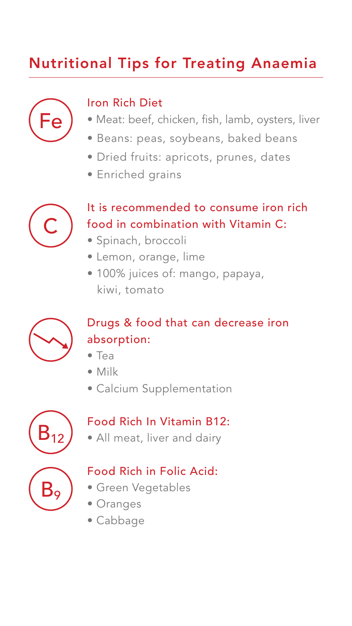### Iron Rich Diet

- Meat: beef, chicken, fish, lamb, oysters, liver
- Beans: peas, soybeans, baked beans
- Dried fruits: apricots, prunes, dates
- Enriched grains

It is recommended to consume iron rich food in combination with Vitamin C:

• Spinach, broccoli

- Lemon, orange, lime
- 100% juices of: mango, papaya, kiwi, tomato



Drugs & food that can decrease iron absorption:

- Tea
- Milk
- Calcium Supplementation

Food Rich In Vitamin B12:

• All meat, liver and dairy

### Food Rich in Folic Acid:

- Green Vegetables
- Oranges













## Nutritional Tips for Treating Anaemia